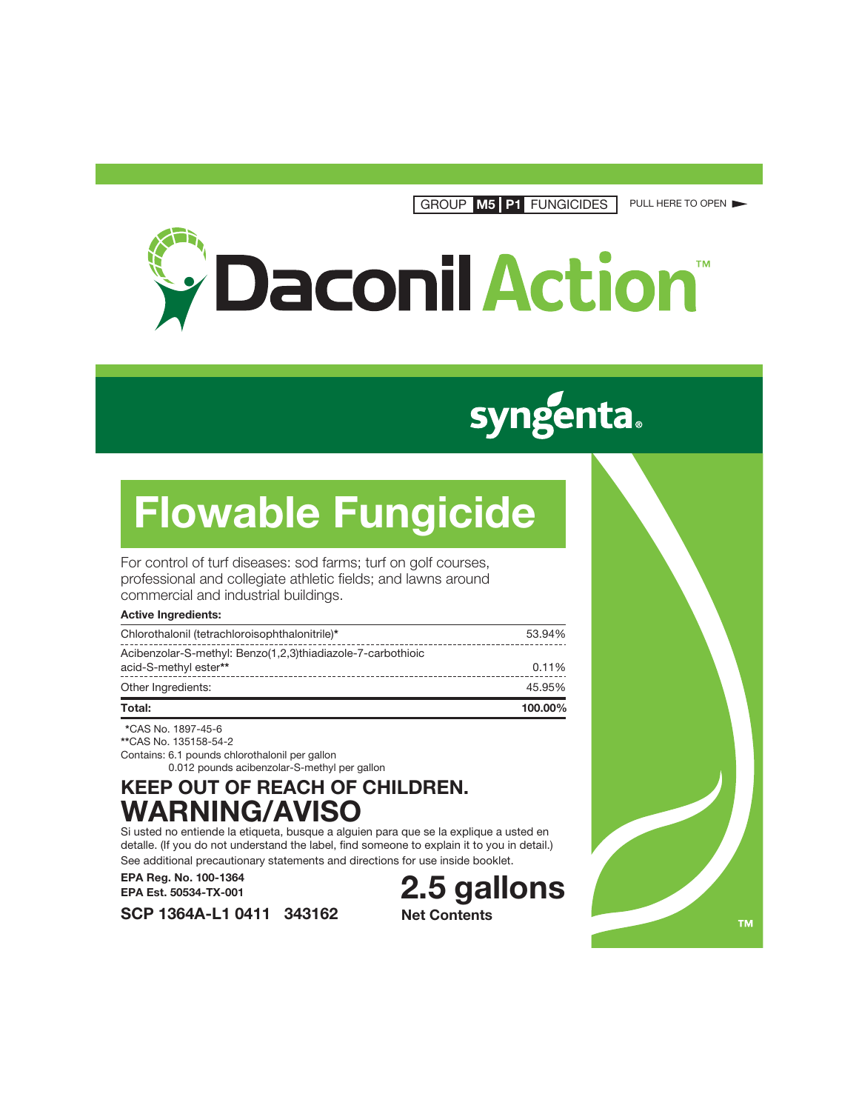GROUP **M5 P1** FUNGICIDES PULL HERE TO OPEN



# **syngenta.**

# **Flowable Fungicide**

For control of turf diseases: sod farms; turf on golf courses, professional and collegiate athletic fields; and lawns around commercial and industrial buildings.

## **Active Ingredients:**

| Total:                                                                               | 100.00% |
|--------------------------------------------------------------------------------------|---------|
| Other Ingredients:                                                                   | 45.95%  |
| Acibenzolar-S-methyl: Benzo(1,2,3)thiadiazole-7-carbothioic<br>acid-S-methyl ester** | 0.11%   |
|                                                                                      | 53.94%  |
| Chlorothalonil (tetrachloroisophthalonitrile)*                                       |         |

 **\***CAS No. 1897-45-6 **\*\***CAS No. 135158-54-2 Contains: 6.1 pounds chlorothalonil per gallon 0.012 pounds acibenzolar-S-methyl per gallon

**SCP 1364A-L1 0411 343162**

# **KEEP OUT OF REACH OF CHILDREN. WARNING/AVISO**

Si usted no entiende la etiqueta, busque a alguien para que se la explique a usted en detalle. (If you do not understand the label, find someone to explain it to you in detail.) See additional precautionary statements and directions for use inside booklet.

**EPA Reg. No. 100-1364 EPA Est. 50534-TX-001**

**2.5 gallons Net Contents**

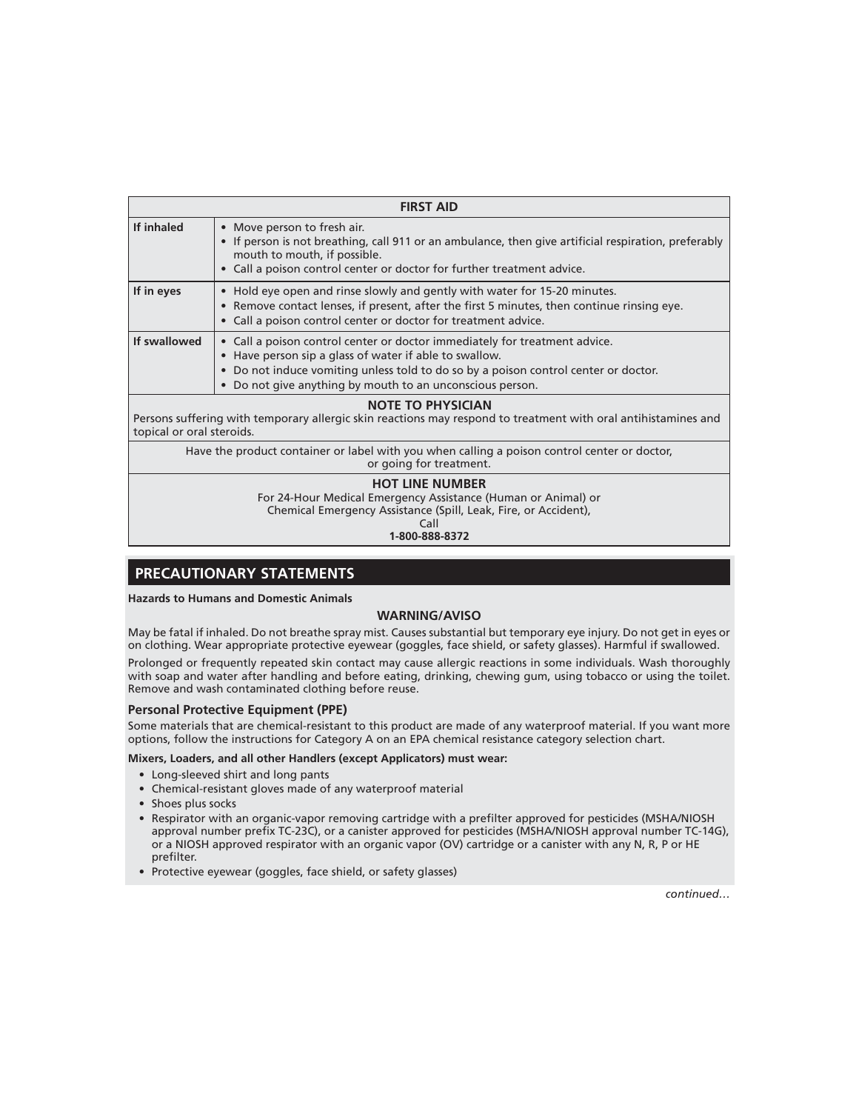| <b>FIRST AID</b>                                                                                                                                                        |                                                                                                                                                                                                                                                                                                     |  |  |  |  |  |
|-------------------------------------------------------------------------------------------------------------------------------------------------------------------------|-----------------------------------------------------------------------------------------------------------------------------------------------------------------------------------------------------------------------------------------------------------------------------------------------------|--|--|--|--|--|
| If inhaled                                                                                                                                                              | • Move person to fresh air.<br>• If person is not breathing, call 911 or an ambulance, then give artificial respiration, preferably<br>mouth to mouth, if possible.<br>• Call a poison control center or doctor for further treatment advice.                                                       |  |  |  |  |  |
| If in eyes                                                                                                                                                              | • Hold eye open and rinse slowly and gently with water for 15-20 minutes.<br>• Remove contact lenses, if present, after the first 5 minutes, then continue rinsing eye.<br>• Call a poison control center or doctor for treatment advice.                                                           |  |  |  |  |  |
| If swallowed                                                                                                                                                            | • Call a poison control center or doctor immediately for treatment advice.<br>• Have person sip a glass of water if able to swallow.<br>• Do not induce vomiting unless told to do so by a poison control center or doctor.<br>Do not give anything by mouth to an unconscious person.<br>$\bullet$ |  |  |  |  |  |
| <b>NOTE TO PHYSICIAN</b><br>Persons suffering with temporary allergic skin reactions may respond to treatment with oral antihistamines and<br>topical or oral steroids. |                                                                                                                                                                                                                                                                                                     |  |  |  |  |  |
| Have the product container or label with you when calling a poison control center or doctor,<br>or going for treatment.                                                 |                                                                                                                                                                                                                                                                                                     |  |  |  |  |  |
| <b>HOT LINE NUMBER</b><br>For 24-Hour Medical Emergency Assistance (Human or Animal) or<br>Chemical Emergency Assistance (Spill, Leak, Fire, or Accident),              |                                                                                                                                                                                                                                                                                                     |  |  |  |  |  |

Call

**1-800-888-8372**

# **PRECAUTIONARY STATEMENTS**

**Hazards to Humans and Domestic Animals**

## **WARNING/AVISO**

May be fatal if inhaled. Do not breathe spray mist. Causes substantial but temporary eye injury. Do not get in eyes or on clothing. Wear appropriate protective eyewear (goggles, face shield, or safety glasses). Harmful if swallowed.

Prolonged or frequently repeated skin contact may cause allergic reactions in some individuals. Wash thoroughly with soap and water after handling and before eating, drinking, chewing gum, using tobacco or using the toilet. Remove and wash contaminated clothing before reuse.

#### **Personal Protective Equipment (PPE)**

Some materials that are chemical-resistant to this product are made of any waterproof material. If you want more options, follow the instructions for Category A on an EPA chemical resistance category selection chart.

#### **Mixers, Loaders, and all other Handlers (except Applicators) must wear:**

- Long-sleeved shirt and long pants
- Chemical-resistant gloves made of any waterproof material
- Shoes plus socks
- Respirator with an organic-vapor removing cartridge with a prefilter approved for pesticides (MSHA/NIOSH approval number prefix TC-23C), or a canister approved for pesticides (MSHA/NIOSH approval number TC-14G), or a NIOSH approved respirator with an organic vapor (OV) cartridge or a canister with any N, R, P or HE prefilter.
- Protective eyewear (goggles, face shield, or safety glasses)

*continued…*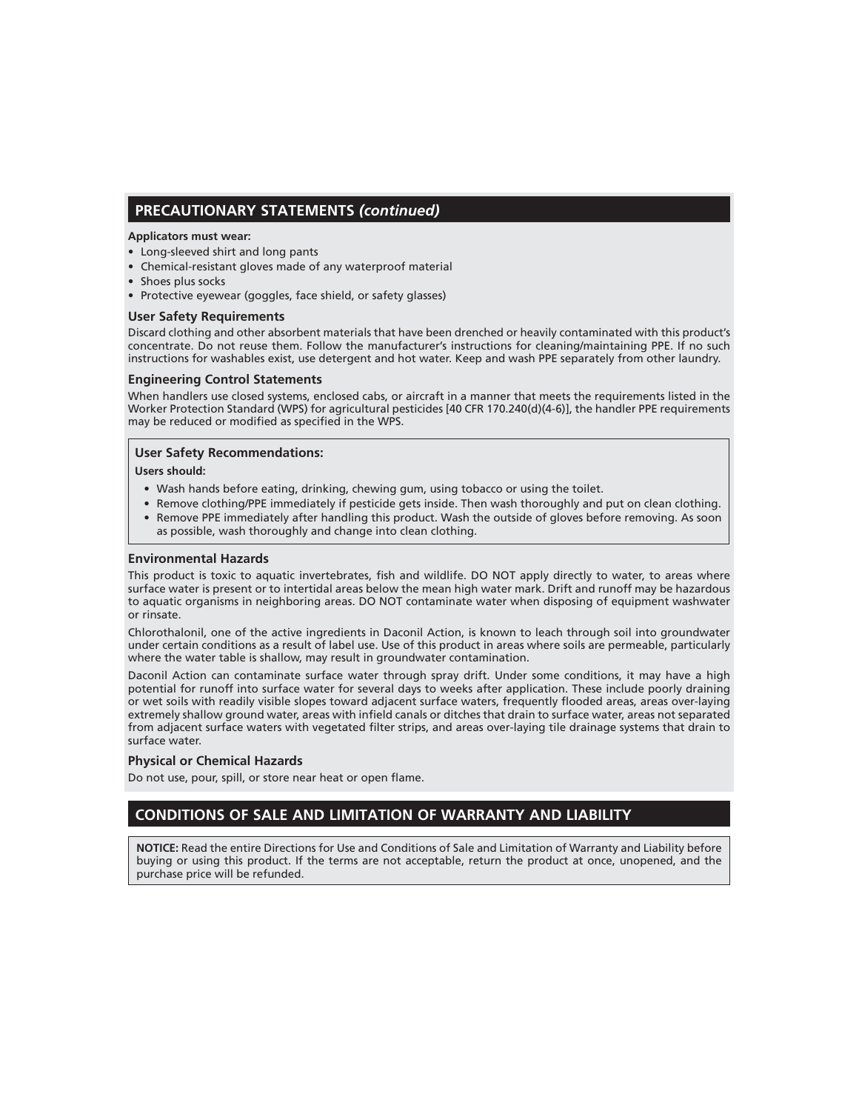# **PRECAUTIONARY STATEMENTS** *(continued)*

#### **Applicators must wear:**

- Long-sleeved shirt and long pants
- Chemical-resistant gloves made of any waterproof material
- Shoes plus socks
- Protective eyewear (goggles, face shield, or safety glasses)

## **User Safety Requirements**

Discard clothing and other absorbent materials that have been drenched or heavily contaminated with this product's concentrate. Do not reuse them. Follow the manufacturer's instructions for cleaning/maintaining PPE. If no such instructions for washables exist, use detergent and hot water. Keep and wash PPE separately from other laundry.

#### **Engineering Control Statements**

When handlers use closed systems, enclosed cabs, or aircraft in a manner that meets the requirements listed in the Worker Protection Standard (WPS) for agricultural pesticides [40 CFR 170.240(d)(4-6)], the handler PPE requirements may be reduced or modified as specified in the WPS.

## **User Safety Recommendations:**

#### **Users should:**

- Wash hands before eating, drinking, chewing gum, using tobacco or using the toilet.
- Remove clothing/PPE immediately if pesticide gets inside. Then wash thoroughly and put on clean clothing. • Remove PPE immediately after handling this product. Wash the outside of gloves before removing. As soon as possible, wash thoroughly and change into clean clothing.

#### **Environmental Hazards**

This product is toxic to aquatic invertebrates, fish and wildlife. DO NOT apply directly to water, to areas where surface water is present or to intertidal areas below the mean high water mark. Drift and runoff may be hazardous to aquatic organisms in neighboring areas. DO NOT contaminate water when disposing of equipment washwater or rinsate.

Chlorothalonil, one of the active ingredients in Daconil Action, is known to leach through soil into groundwater under certain conditions as a result of label use. Use of this product in areas where soils are permeable, particularly where the water table is shallow, may result in groundwater contamination.

Daconil Action can contaminate surface water through spray drift. Under some conditions, it may have a high potential for runoff into surface water for several days to weeks after application. These include poorly draining or wet soils with readily visible slopes toward adjacent surface waters, frequently flooded areas, areas over-laying extremely shallow ground water, areas with infield canals or ditches that drain to surface water, areas not separated from adjacent surface waters with vegetated filter strips, and areas over-laying tile drainage systems that drain to surface water.

#### **Physical or Chemical Hazards**

Do not use, pour, spill, or store near heat or open flame.

# **CONDITIONS OF SALE AND LIMITATION OF WARRANTY AND LIABILITY**

**NOTICE:** Read the entire Directions for Use and Conditions of Sale and Limitation of Warranty and Liability before buying or using this product. If the terms are not acceptable, return the product at once, unopened, and the purchase price will be refunded.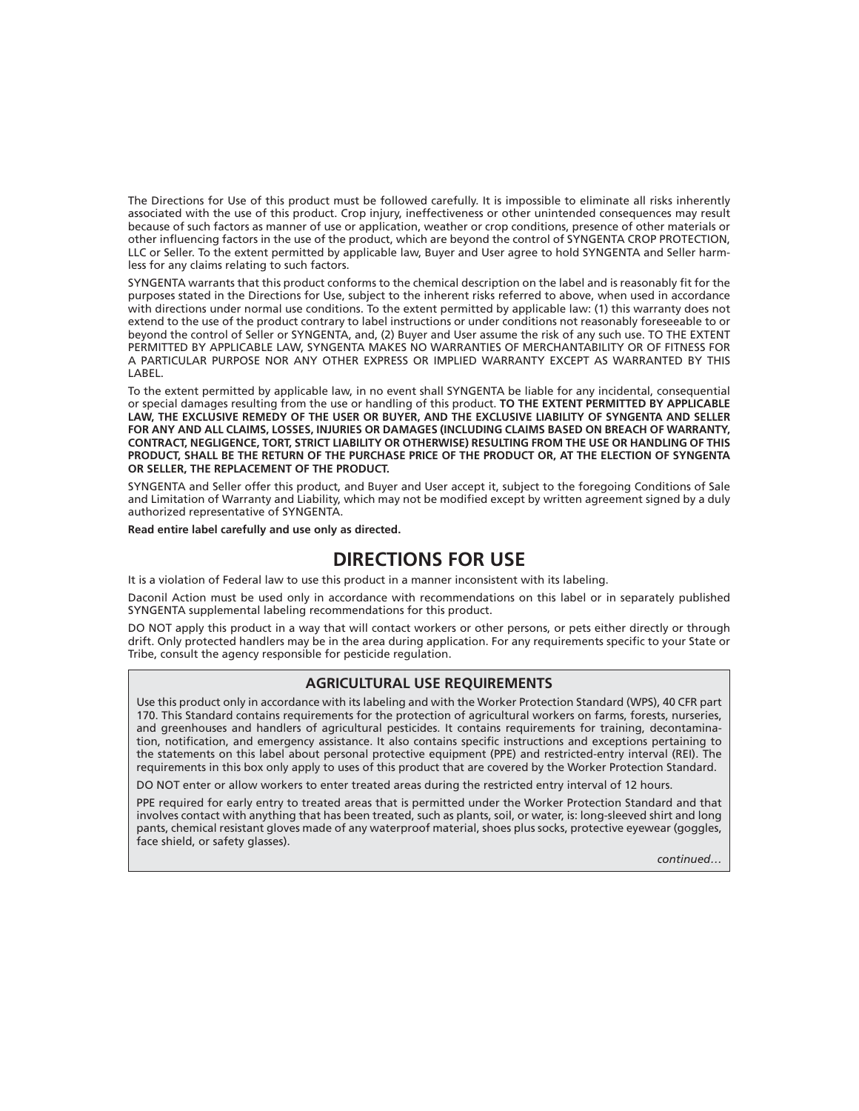The Directions for Use of this product must be followed carefully. It is impossible to eliminate all risks inherently associated with the use of this product. Crop injury, ineffectiveness or other unintended consequences may result because of such factors as manner of use or application, weather or crop conditions, presence of other materials or other influencing factors in the use of the product, which are beyond the control of SYNGENTA CROP PROTECTION, LLC or Seller. To the extent permitted by applicable law, Buyer and User agree to hold SYNGENTA and Seller harmless for any claims relating to such factors.

SYNGENTA warrants that this product conforms to the chemical description on the label and is reasonably fit for the purposes stated in the Directions for Use, subject to the inherent risks referred to above, when used in accordance with directions under normal use conditions. To the extent permitted by applicable law: (1) this warranty does not extend to the use of the product contrary to label instructions or under conditions not reasonably foreseeable to or beyond the control of Seller or SYNGENTA, and, (2) Buyer and User assume the risk of any such use. TO THE EXTENT PERMITTED BY APPLICABLE LAW, SYNGENTA MAKES NO WARRANTIES OF MERCHANTABILITY OR OF FITNESS FOR A PARTICULAR PURPOSE NOR ANY OTHER EXPRESS OR IMPLIED WARRANTY EXCEPT AS WARRANTED BY THIS LABEL.

To the extent permitted by applicable law, in no event shall SYNGENTA be liable for any incidental, consequential or special damages resulting from the use or handling of this product. **TO THE EXTENT PERMITTED BY APPLICABLE LAW, THE EXCLUSIVE REMEDY OF THE USER OR BUYER, AND THE EXCLUSIVE LIABILITY OF SYNGENTA AND SELLER FOR ANY AND ALL CLAIMS, LOSSES, INJURIES OR DAMAGES (INCLUDING CLAIMS BASED ON BREACH OF WARRANTY, CONTRACT, NEGLIGENCE, TORT, STRICT LIABILITY OR OTHERWISE) RESULTING FROM THE USE OR HANDLING OF THIS PRODUCT, SHALL BE THE RETURN OF THE PURCHASE PRICE OF THE PRODUCT OR, AT THE ELECTION OF SYNGENTA OR SELLER, THE REPLACEMENT OF THE PRODUCT.**

SYNGENTA and Seller offer this product, and Buyer and User accept it, subject to the foregoing Conditions of Sale and Limitation of Warranty and Liability, which may not be modified except by written agreement signed by a duly authorized representative of SYNGENTA.

**Read entire label carefully and use only as directed.**

# **DIRECTIONS FOR USE**

It is a violation of Federal law to use this product in a manner inconsistent with its labeling.

Daconil Action must be used only in accordance with recommendations on this label or in separately published SYNGENTA supplemental labeling recommendations for this product.

DO NOT apply this product in a way that will contact workers or other persons, or pets either directly or through drift. Only protected handlers may be in the area during application. For any requirements specific to your State or Tribe, consult the agency responsible for pesticide regulation.

#### **AGRICULTURAL USE REQUIREMENTS**

Use this product only in accordance with its labeling and with the Worker Protection Standard (WPS), 40 CFR part 170. This Standard contains requirements for the protection of agricultural workers on farms, forests, nurseries, and greenhouses and handlers of agricultural pesticides. It contains requirements for training, decontamination, notification, and emergency assistance. It also contains specific instructions and exceptions pertaining to the statements on this label about personal protective equipment (PPE) and restricted-entry interval (REI). The requirements in this box only apply to uses of this product that are covered by the Worker Protection Standard.

DO NOT enter or allow workers to enter treated areas during the restricted entry interval of 12 hours.

PPE required for early entry to treated areas that is permitted under the Worker Protection Standard and that involves contact with anything that has been treated, such as plants, soil, or water, is: long-sleeved shirt and long pants, chemical resistant gloves made of any waterproof material, shoes plus socks, protective eyewear (goggles, face shield, or safety glasses).

*continued…*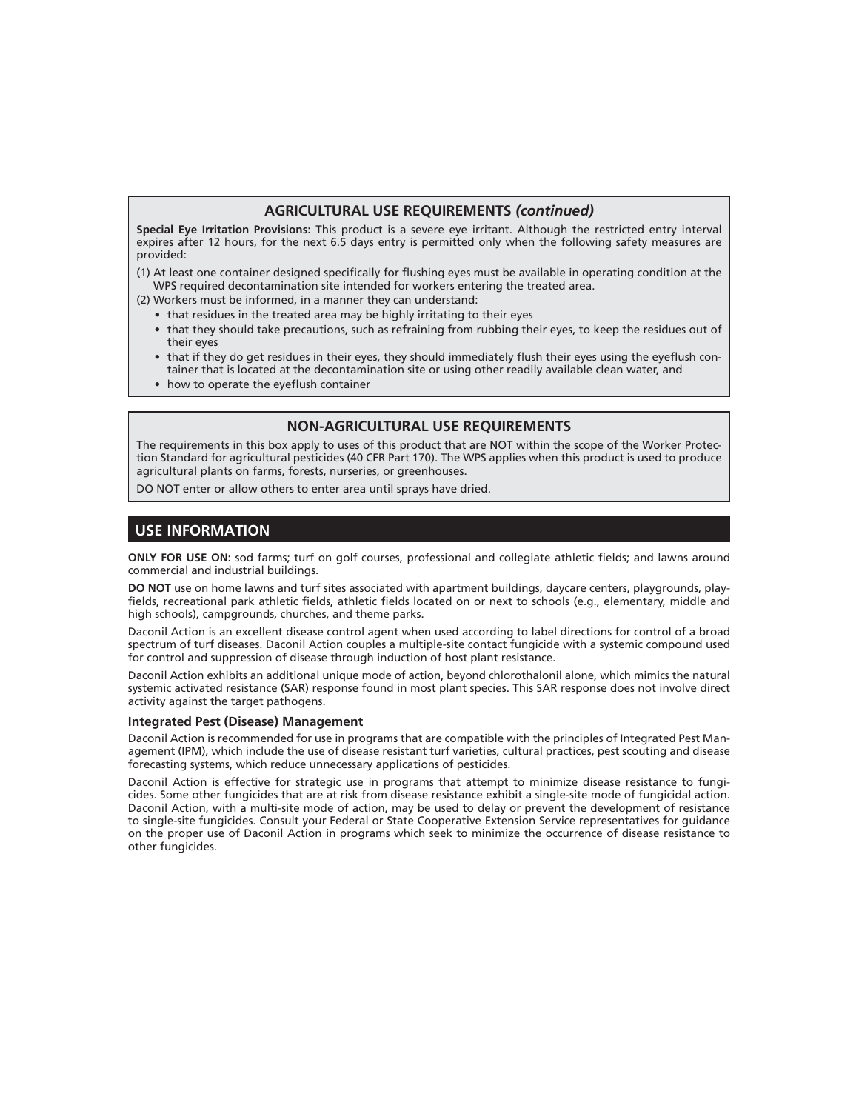## **AGRICULTURAL USE REQUIREMENTS** *(continued)*

**Special Eye Irritation Provisions:** This product is a severe eye irritant. Although the restricted entry interval expires after 12 hours, for the next 6.5 days entry is permitted only when the following safety measures are provided:

(1) At least one container designed specifically for flushing eyes must be available in operating condition at the WPS required decontamination site intended for workers entering the treated area.

(2) Workers must be informed, in a manner they can understand:

- that residues in the treated area may be highly irritating to their eyes
- that they should take precautions, such as refraining from rubbing their eyes, to keep the residues out of their eyes
- that if they do get residues in their eyes, they should immediately flush their eyes using the eyeflush container that is located at the decontamination site or using other readily available clean water, and
- how to operate the eyeflush container

#### **NON-AGRICULTURAL USE REQUIREMENTS**

The requirements in this box apply to uses of this product that are NOT within the scope of the Worker Protection Standard for agricultural pesticides (40 CFR Part 170). The WPS applies when this product is used to produce agricultural plants on farms, forests, nurseries, or greenhouses.

DO NOT enter or allow others to enter area until sprays have dried.

# **USE INFORMATION**

**ONLY FOR USE ON:** sod farms; turf on golf courses, professional and collegiate athletic fields; and lawns around commercial and industrial buildings.

**DO NOT** use on home lawns and turf sites associated with apartment buildings, daycare centers, playgrounds, playfields, recreational park athletic fields, athletic fields located on or next to schools (e.g., elementary, middle and high schools), campgrounds, churches, and theme parks.

Daconil Action is an excellent disease control agent when used according to label directions for control of a broad spectrum of turf diseases. Daconil Action couples a multiple-site contact fungicide with a systemic compound used for control and suppression of disease through induction of host plant resistance.

Daconil Action exhibits an additional unique mode of action, beyond chlorothalonil alone, which mimics the natural systemic activated resistance (SAR) response found in most plant species. This SAR response does not involve direct activity against the target pathogens.

#### **Integrated Pest (Disease) Management**

Daconil Action is recommended for use in programs that are compatible with the principles of Integrated Pest Management (IPM), which include the use of disease resistant turf varieties, cultural practices, pest scouting and disease forecasting systems, which reduce unnecessary applications of pesticides.

Daconil Action is effective for strategic use in programs that attempt to minimize disease resistance to fungicides. Some other fungicides that are at risk from disease resistance exhibit a single-site mode of fungicidal action. Daconil Action, with a multi-site mode of action, may be used to delay or prevent the development of resistance to single-site fungicides. Consult your Federal or State Cooperative Extension Service representatives for guidance on the proper use of Daconil Action in programs which seek to minimize the occurrence of disease resistance to other fungicides.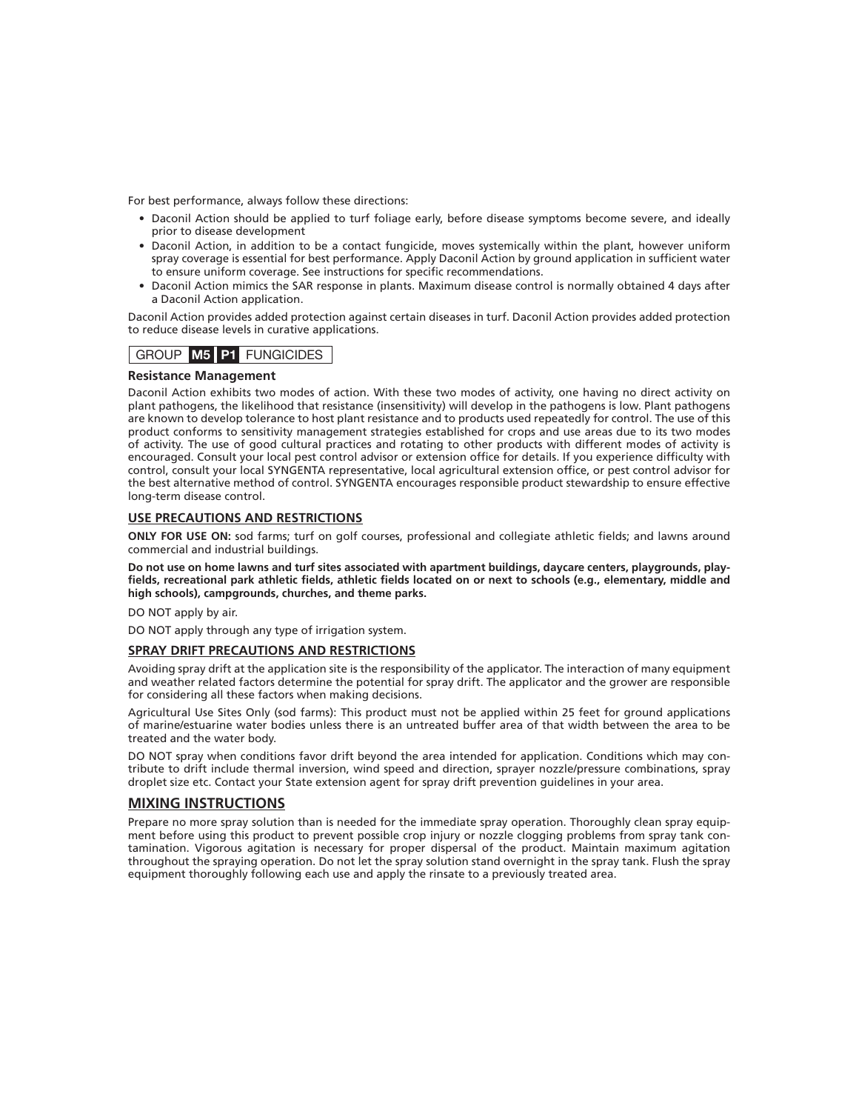For best performance, always follow these directions:

- Daconil Action should be applied to turf foliage early, before disease symptoms become severe, and ideally prior to disease development
- Daconil Action, in addition to be a contact fungicide, moves systemically within the plant, however uniform spray coverage is essential for best performance. Apply Daconil Action by ground application in sufficient water to ensure uniform coverage. See instructions for specific recommendations.
- Daconil Action mimics the SAR response in plants. Maximum disease control is normally obtained 4 days after a Daconil Action application.

Daconil Action provides added protection against certain diseases in turf. Daconil Action provides added protection to reduce disease levels in curative applications.

# GROUP **M5 P1** FUNGICIDES

#### **Resistance Management**

Daconil Action exhibits two modes of action. With these two modes of activity, one having no direct activity on plant pathogens, the likelihood that resistance (insensitivity) will develop in the pathogens is low. Plant pathogens are known to develop tolerance to host plant resistance and to products used repeatedly for control. The use of this product conforms to sensitivity management strategies established for crops and use areas due to its two modes of activity. The use of good cultural practices and rotating to other products with different modes of activity is encouraged. Consult your local pest control advisor or extension office for details. If you experience difficulty with control, consult your local SYNGENTA representative, local agricultural extension office, or pest control advisor for the best alternative method of control. SYNGENTA encourages responsible product stewardship to ensure effective long-term disease control.

#### **USE PRECAUTIONS AND RESTRICTIONS**

**ONLY FOR USE ON:** sod farms; turf on golf courses, professional and collegiate athletic fields; and lawns around commercial and industrial buildings.

**Do not use on home lawns and turf sites associated with apartment buildings, daycare centers, playgrounds, play**fields, recreational park athletic fields, athletic fields located on or next to schools (e.g., elementary, middle and **high schools), campgrounds, churches, and theme parks.**

DO NOT apply by air.

DO NOT apply through any type of irrigation system.

#### **SPRAY DRIFT PRECAUTIONS AND RESTRICTIONS**

Avoiding spray drift at the application site is the responsibility of the applicator. The interaction of many equipment and weather related factors determine the potential for spray drift. The applicator and the grower are responsible for considering all these factors when making decisions.

Agricultural Use Sites Only (sod farms): This product must not be applied within 25 feet for ground applications of marine/estuarine water bodies unless there is an untreated buffer area of that width between the area to be treated and the water body.

DO NOT spray when conditions favor drift beyond the area intended for application. Conditions which may contribute to drift include thermal inversion, wind speed and direction, sprayer nozzle/pressure combinations, spray droplet size etc. Contact your State extension agent for spray drift prevention guidelines in your area.

#### **MIXING INSTRUCTIONS**

Prepare no more spray solution than is needed for the immediate spray operation. Thoroughly clean spray equipment before using this product to prevent possible crop injury or nozzle clogging problems from spray tank contamination. Vigorous agitation is necessary for proper dispersal of the product. Maintain maximum agitation throughout the spraying operation. Do not let the spray solution stand overnight in the spray tank. Flush the spray equipment thoroughly following each use and apply the rinsate to a previously treated area.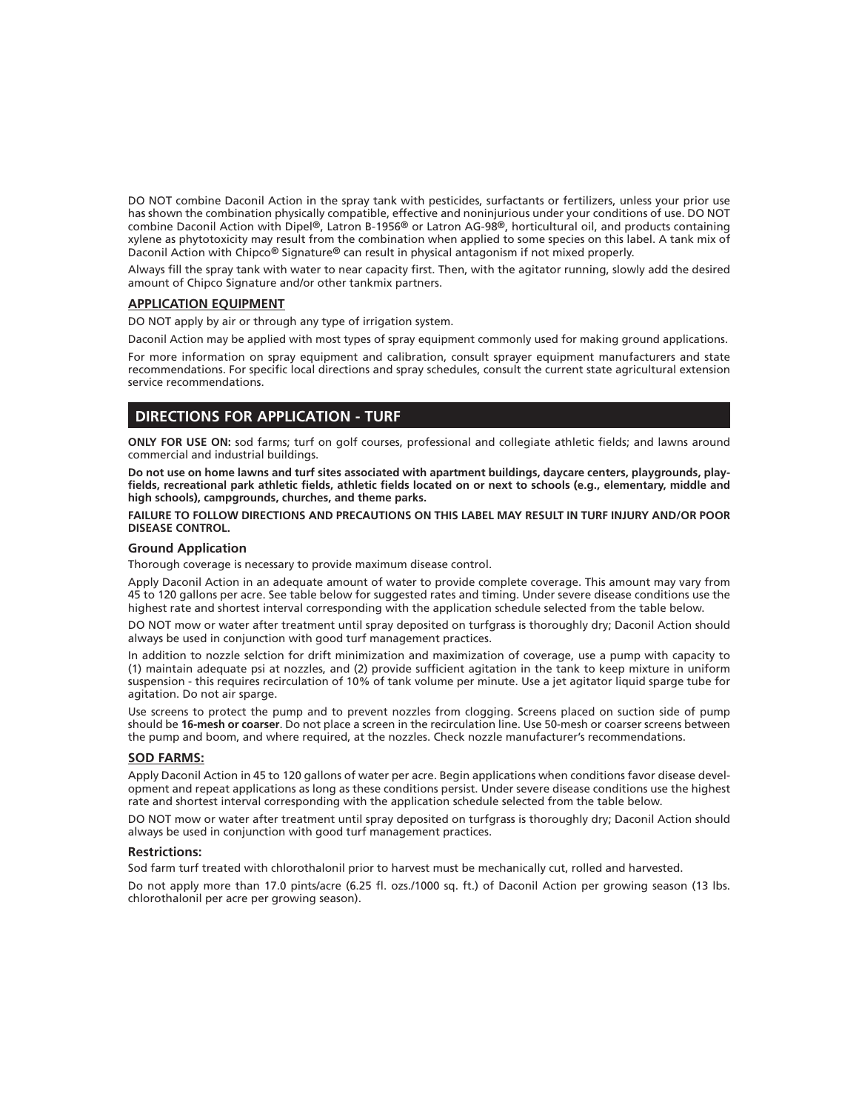DO NOT combine Daconil Action in the spray tank with pesticides, surfactants or fertilizers, unless your prior use has shown the combination physically compatible, effective and noninjurious under your conditions of use. DO NOT combine Daconil Action with Dipel®, Latron B-1956® or Latron AG-98®, horticultural oil, and products containing xylene as phytotoxicity may result from the combination when applied to some species on this label. A tank mix of Daconil Action with Chipco® Signature® can result in physical antagonism if not mixed properly.

Always fill the spray tank with water to near capacity first. Then, with the agitator running, slowly add the desired amount of Chipco Signature and/or other tankmix partners.

#### **APPLICATION EQUIPMENT**

DO NOT apply by air or through any type of irrigation system.

Daconil Action may be applied with most types of spray equipment commonly used for making ground applications.

For more information on spray equipment and calibration, consult sprayer equipment manufacturers and state recommendations. For specific local directions and spray schedules, consult the current state agricultural extension service recommendations.

# **DIRECTIONS FOR APPLICATION - TURF**

**ONLY FOR USE ON:** sod farms; turf on golf courses, professional and collegiate athletic fields; and lawns around commercial and industrial buildings.

**Do not use on home lawns and turf sites associated with apartment buildings, daycare centers, playgrounds, play**fields, recreational park athletic fields, athletic fields located on or next to schools (e.g., elementary, middle and **high schools), campgrounds, churches, and theme parks.**

**FAILURE TO FOLLOW DIRECTIONS AND PRECAUTIONS ON THIS LABEL MAY RESULT IN TURF INJURY AND/OR POOR DISEASE CONTROL.**

#### **Ground Application**

Thorough coverage is necessary to provide maximum disease control.

Apply Daconil Action in an adequate amount of water to provide complete coverage. This amount may vary from 45 to 120 gallons per acre. See table below for suggested rates and timing. Under severe disease conditions use the highest rate and shortest interval corresponding with the application schedule selected from the table below.

DO NOT mow or water after treatment until spray deposited on turfgrass is thoroughly dry; Daconil Action should always be used in conjunction with good turf management practices.

In addition to nozzle selction for drift minimization and maximization of coverage, use a pump with capacity to (1) maintain adequate psi at nozzles, and (2) provide sufficient agitation in the tank to keep mixture in uniform suspension - this requires recirculation of 10% of tank volume per minute. Use a jet agitator liquid sparge tube for agitation. Do not air sparge.

Use screens to protect the pump and to prevent nozzles from clogging. Screens placed on suction side of pump should be **16-mesh or coarser**. Do not place a screen in the recirculation line. Use 50-mesh or coarser screens between the pump and boom, and where required, at the nozzles. Check nozzle manufacturer's recommendations.

#### **SOD FARMS:**

Apply Daconil Action in 45 to 120 gallons of water per acre. Begin applications when conditions favor disease development and repeat applications as long as these conditions persist. Under severe disease conditions use the highest rate and shortest interval corresponding with the application schedule selected from the table below.

DO NOT mow or water after treatment until spray deposited on turfgrass is thoroughly dry; Daconil Action should always be used in conjunction with good turf management practices.

#### **Restrictions:**

Sod farm turf treated with chlorothalonil prior to harvest must be mechanically cut, rolled and harvested.

Do not apply more than 17.0 pints/acre (6.25 fl. ozs./1000 sq. ft.) of Daconil Action per growing season (13 lbs. chlorothalonil per acre per growing season).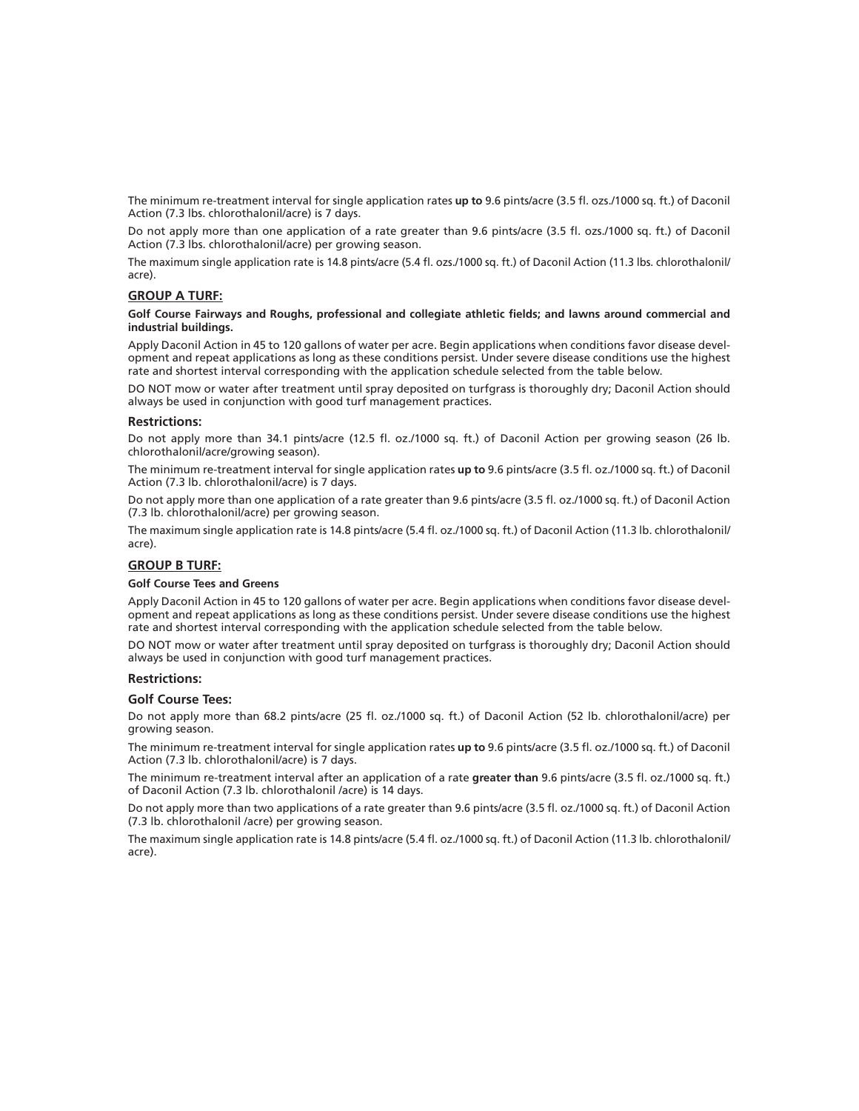The minimum re-treatment interval for single application rates **up to** 9.6 pints/acre (3.5 fl . ozs./1000 sq. ft.) of Daconil Action (7.3 lbs. chlorothalonil/acre) is 7 days.

Do not apply more than one application of a rate greater than 9.6 pints/acre (3.5 fl. ozs./1000 sq. ft.) of Daconil Action (7.3 lbs. chlorothalonil/acre) per growing season.

The maximum single application rate is 14.8 pints/acre (5.4 fl. ozs./1000 sq. ft.) of Daconil Action (11.3 lbs. chlorothalonil/ acre).

#### **GROUP A TURF:**

#### Golf Course Fairways and Roughs, professional and collegiate athletic fields; and lawns around commercial and **industrial buildings.**

Apply Daconil Action in 45 to 120 gallons of water per acre. Begin applications when conditions favor disease development and repeat applications as long as these conditions persist. Under severe disease conditions use the highest rate and shortest interval corresponding with the application schedule selected from the table below.

DO NOT mow or water after treatment until spray deposited on turfgrass is thoroughly dry; Daconil Action should always be used in conjunction with good turf management practices.

#### **Restrictions:**

Do not apply more than 34.1 pints/acre (12.5 fl. oz./1000 sq. ft.) of Daconil Action per growing season (26 lb. chlorothalonil/acre/growing season).

The minimum re-treatment interval for single application rates **up to** 9.6 pints/acre (3.5 fl . oz./1000 sq. ft.) of Daconil Action (7.3 lb. chlorothalonil/acre) is 7 days.

Do not apply more than one application of a rate greater than 9.6 pints/acre (3.5 fl . oz./1000 sq. ft.) of Daconil Action (7.3 lb. chlorothalonil/acre) per growing season.

The maximum single application rate is 14.8 pints/acre (5.4 fl. oz./1000 sq. ft.) of Daconil Action (11.3 lb. chlorothalonil/ acre).

#### **GROUP B TURF:**

#### **Golf Course Tees and Greens**

Apply Daconil Action in 45 to 120 gallons of water per acre. Begin applications when conditions favor disease development and repeat applications as long as these conditions persist. Under severe disease conditions use the highest rate and shortest interval corresponding with the application schedule selected from the table below.

DO NOT mow or water after treatment until spray deposited on turfgrass is thoroughly dry; Daconil Action should always be used in conjunction with good turf management practices.

#### **Restrictions:**

#### **Golf Course Tees:**

Do not apply more than 68.2 pints/acre (25 fl. oz./1000 sq. ft.) of Daconil Action (52 lb. chlorothalonil/acre) per growing season.

The minimum re-treatment interval for single application rates **up to** 9.6 pints/acre (3.5 fl . oz./1000 sq. ft.) of Daconil Action (7.3 lb. chlorothalonil/acre) is 7 days.

The minimum re-treatment interval after an application of a rate **greater than** 9.6 pints/acre (3.5 fl . oz./1000 sq. ft.) of Daconil Action (7.3 lb. chlorothalonil /acre) is 14 days.

Do not apply more than two applications of a rate greater than 9.6 pints/acre (3.5 fl . oz./1000 sq. ft.) of Daconil Action (7.3 lb. chlorothalonil /acre) per growing season.

The maximum single application rate is 14.8 pints/acre (5.4 fl. oz./1000 sq. ft.) of Daconil Action (11.3 lb. chlorothalonil/ acre).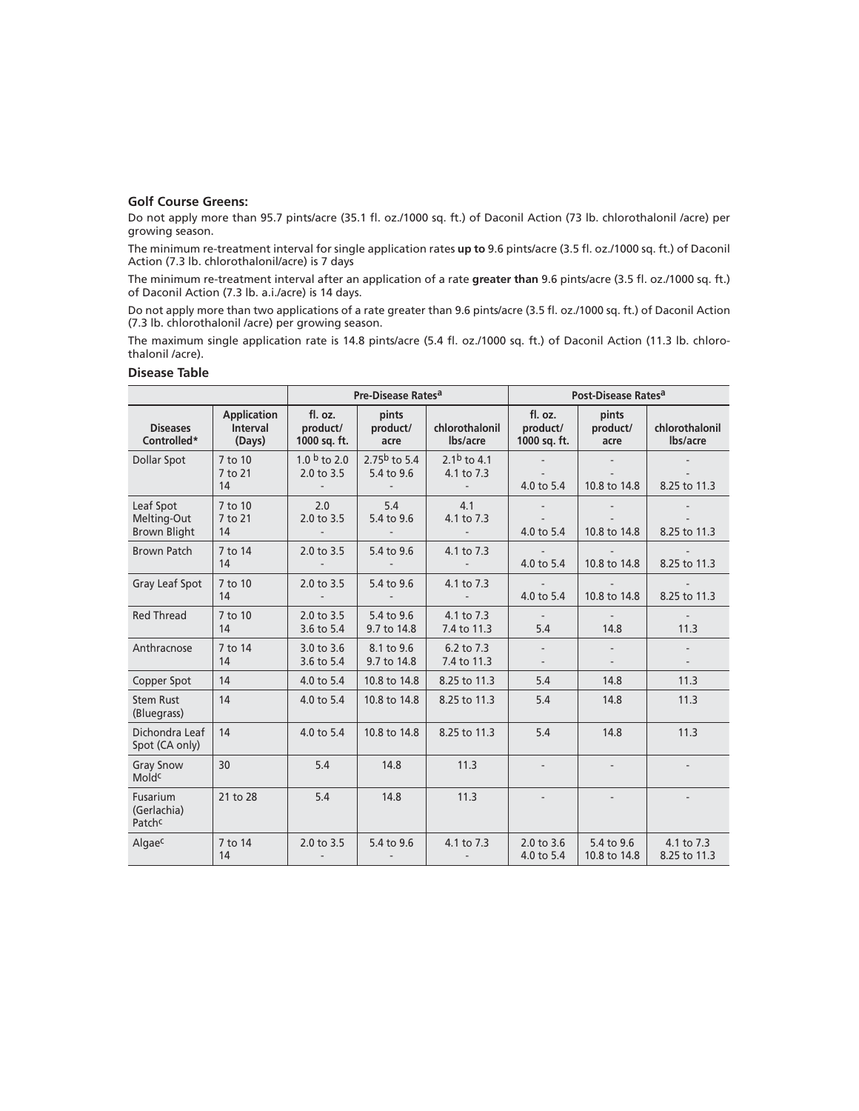## **Golf Course Greens:**

Do not apply more than 95.7 pints/acre (35.1 fl. oz./1000 sq. ft.) of Daconil Action (73 lb. chlorothalonil /acre) per growing season.

The minimum re-treatment interval for single application rates **up to** 9.6 pints/acre (3.5 fl . oz./1000 sq. ft.) of Daconil Action (7.3 lb. chlorothalonil/acre) is 7 days

The minimum re-treatment interval after an application of a rate **greater than** 9.6 pints/acre (3.5 fl . oz./1000 sq. ft.) of Daconil Action (7.3 lb. a.i./acre) is 14 days.

Do not apply more than two applications of a rate greater than 9.6 pints/acre (3.5 fl . oz./1000 sq. ft.) of Daconil Action (7.3 lb. chlorothalonil /acre) per growing season.

The maximum single application rate is 14.8 pints/acre (5.4 fl. oz./1000 sq. ft.) of Daconil Action (11.3 lb. chlorothalonil /acre).

### **Disease Table**

|                                                 |                                                 |                                                                    | Pre-Disease Rates <sup>a</sup>          |                                                                   |                                     | Post-Disease Rates <sup>a</sup> |                            |  |
|-------------------------------------------------|-------------------------------------------------|--------------------------------------------------------------------|-----------------------------------------|-------------------------------------------------------------------|-------------------------------------|---------------------------------|----------------------------|--|
| <b>Diseases</b><br>Controlled*                  | <b>Application</b><br><b>Interval</b><br>(Days) | fl. oz.<br>product/<br>1000 sq. ft.                                | pints<br>product/<br>acre               | chlorothalonil<br>lbs/acre                                        | fl. oz.<br>product/<br>1000 sq. ft. | pints<br>product/<br>acre       | chlorothalonil<br>lbs/acre |  |
| Dollar Spot                                     | 7 to 10<br>7 to 21<br>14                        | 1.0 $\frac{b}{c}$ to 2.0<br>2.0 to 3.5<br>$\overline{\phantom{a}}$ | 2.75 $b$ to 5.4<br>5.4 to 9.6<br>$\sim$ | 2.1 <sup>b</sup> to 4.1<br>4.1 to 7.3<br>$\overline{\phantom{a}}$ | 4.0 to 5.4                          | 10.8 to 14.8                    | 8.25 to 11.3               |  |
| Leaf Spot<br>Melting-Out<br><b>Brown Blight</b> | 7 to 10<br>7 to 21<br>14                        | 2.0<br>2.0 to 3.5<br>$\overline{\phantom{a}}$                      | 5.4<br>5.4 to 9.6                       | 4.1<br>4.1 to 7.3<br>$\overline{\phantom{a}}$                     | 4.0 to 5.4                          | 10.8 to 14.8                    | 8.25 to 11.3               |  |
| <b>Brown Patch</b>                              | 7 to 14<br>14                                   | 2.0 to 3.5<br>$\overline{\phantom{a}}$                             | 5.4 to 9.6                              | 4.1 to 7.3<br>$\overline{a}$                                      | 4.0 to 5.4                          | 10.8 to 14.8                    | 8.25 to 11.3               |  |
| Gray Leaf Spot                                  | 7 to 10<br>14                                   | 2.0 to 3.5                                                         | 5.4 to 9.6                              | 4.1 to 7.3                                                        | 4.0 to 5.4                          | 10.8 to 14.8                    | 8.25 to 11.3               |  |
| <b>Red Thread</b>                               | 7 to 10<br>14                                   | 2.0 to 3.5<br>3.6 to 5.4                                           | 5.4 to 9.6<br>9.7 to 14.8               | 4.1 to 7.3<br>7.4 to 11.3                                         | 5.4                                 | 14.8                            | 11.3                       |  |
| Anthracnose                                     | 7 to 14<br>14                                   | 3.0 to 3.6<br>3.6 to 5.4                                           | 8.1 to 9.6<br>9.7 to 14.8               | 6.2 to 7.3<br>7.4 to 11.3                                         |                                     |                                 |                            |  |
| Copper Spot                                     | 14                                              | 4.0 to 5.4                                                         | 10.8 to 14.8                            | 8.25 to 11.3                                                      | 5.4                                 | 14.8                            | 11.3                       |  |
| <b>Stem Rust</b><br>(Bluegrass)                 | 14                                              | 4.0 to 5.4                                                         | 10.8 to 14.8                            | 8.25 to 11.3                                                      | 5.4                                 | 14.8                            | 11.3                       |  |
| Dichondra Leaf<br>Spot (CA only)                | 14                                              | 4.0 to 5.4                                                         | 10.8 to 14.8                            | 8.25 to 11.3                                                      | 5.4                                 | 14.8                            | 11.3                       |  |
| <b>Gray Snow</b><br>Moldc                       | 30                                              | 5.4                                                                | 14.8                                    | 11.3                                                              |                                     |                                 |                            |  |
| Fusarium<br>(Gerlachia)<br>Patchc               | 21 to 28                                        | 5.4                                                                | 14.8                                    | 11.3                                                              |                                     |                                 |                            |  |
| Algaec                                          | 7 to 14<br>14                                   | 2.0 to 3.5                                                         | 5.4 to 9.6                              | 4.1 to 7.3                                                        | 2.0 to 3.6<br>4.0 to 5.4            | 5.4 to 9.6<br>10.8 to 14.8      | 4.1 to 7.3<br>8.25 to 11.3 |  |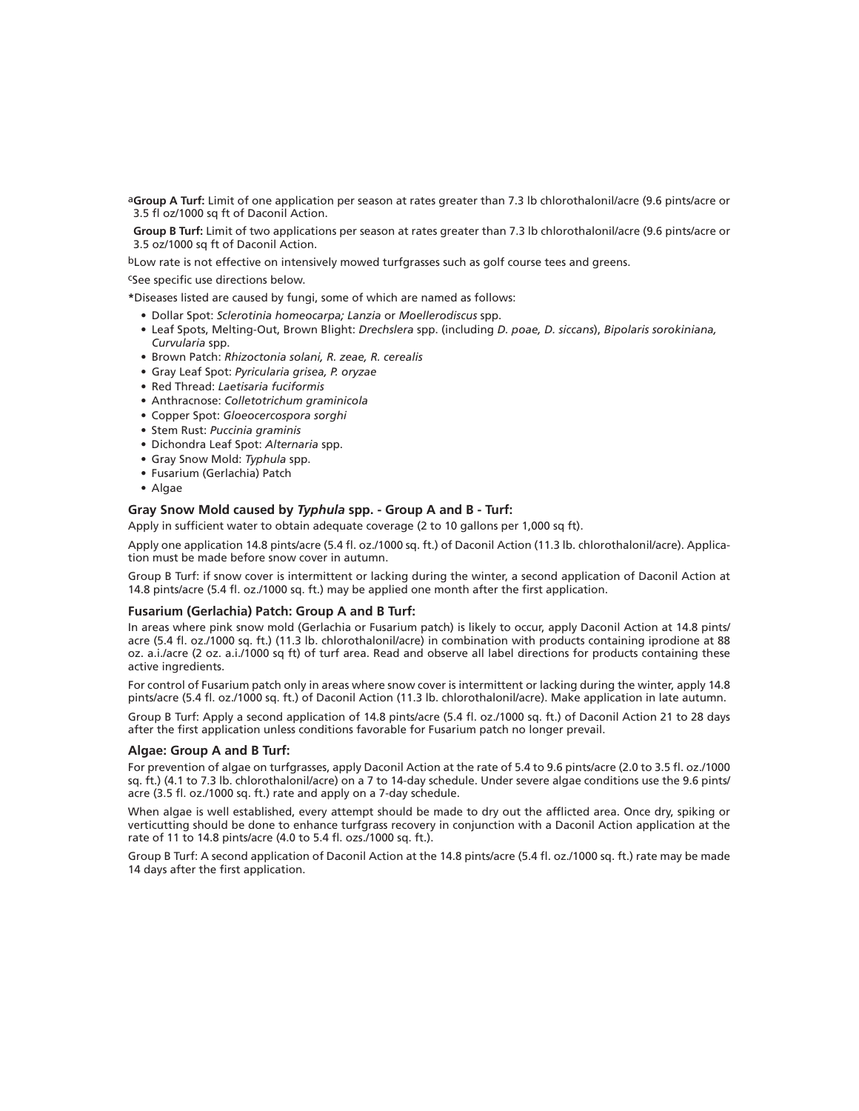a**Group A Turf:** Limit of one application per season at rates greater than 7.3 lb chlorothalonil/acre (9.6 pints/acre or 3.5 fl oz/1000 sq ft of Daconil Action.

 **Group B Turf:** Limit of two applications per season at rates greater than 7.3 lb chlorothalonil/acre (9.6 pints/acre or 3.5 oz/1000 sq ft of Daconil Action.

bLow rate is not effective on intensively mowed turfgrasses such as golf course tees and greens.

cSee specific use directions below.

**\***Diseases listed are caused by fungi, some of which are named as follows:

- Dollar Spot: *Sclerotinia homeocarpa; Lanzia* or *Moellerodiscus* spp.
- Leaf Spots, Melting-Out, Brown Blight: *Drechslera* spp. (including *D. poae, D. siccans*), *Bipolaris sorokiniana, Curvularia* spp.
- Brown Patch: *Rhizoctonia solani, R. zeae, R. cerealis*
- Gray Leaf Spot: *Pyricularia grisea, P. oryzae*
- Red Thread: *Laetisaria fuciformis*
- Anthracnose: *Colletotrichum graminicola*
- Copper Spot: *Gloeocercospora sorghi*
- Stem Rust: *Puccinia graminis*
- Dichondra Leaf Spot: *Alternaria* spp.
- Gray Snow Mold: *Typhula* spp.
- Fusarium (Gerlachia) Patch
- Algae

## **Gray Snow Mold caused by** *Typhula* **spp. - Group A and B - Turf:**

Apply in sufficient water to obtain adequate coverage (2 to 10 gallons per 1,000 sq ft).

Apply one application 14.8 pints/acre (5.4 fl . oz./1000 sq. ft.) of Daconil Action (11.3 lb. chlorothalonil/acre). Application must be made before snow cover in autumn.

Group B Turf: if snow cover is intermittent or lacking during the winter, a second application of Daconil Action at 14.8 pints/acre (5.4 fl. oz./1000 sq. ft.) may be applied one month after the first application.

#### **Fusarium (Gerlachia) Patch: Group A and B Turf:**

In areas where pink snow mold (Gerlachia or Fusarium patch) is likely to occur, apply Daconil Action at 14.8 pints/ acre (5.4 fl . oz./1000 sq. ft.) (11.3 lb. chlorothalonil/acre) in combination with products containing iprodione at 88 oz. a.i./acre (2 oz. a.i./1000 sq ft) of turf area. Read and observe all label directions for products containing these active ingredients.

For control of Fusarium patch only in areas where snow cover is intermittent or lacking during the winter, apply 14.8 pints/acre (5.4 fl. oz./1000 sq. ft.) of Daconil Action (11.3 lb. chlorothalonil/acre). Make application in late autumn.

Group B Turf: Apply a second application of 14.8 pints/acre (5.4 fl. oz./1000 sq. ft.) of Daconil Action 21 to 28 days after the first application unless conditions favorable for Fusarium patch no longer prevail.

#### **Algae: Group A and B Turf:**

For prevention of algae on turfgrasses, apply Daconil Action at the rate of 5.4 to 9.6 pints/acre (2.0 to 3.5 fl. oz./1000 sq. ft.) (4.1 to 7.3 lb. chlorothalonil/acre) on a 7 to 14-day schedule. Under severe algae conditions use the 9.6 pints/ acre (3.5 fl. oz./1000 sq. ft.) rate and apply on a 7-day schedule.

When algae is well established, every attempt should be made to dry out the afflicted area. Once dry, spiking or verticutting should be done to enhance turfgrass recovery in conjunction with a Daconil Action application at the rate of 11 to 14.8 pints/acre (4.0 to 5.4 fl. ozs./1000 sq. ft.).

Group B Turf: A second application of Daconil Action at the 14.8 pints/acre (5.4 fl. oz./1000 sq. ft.) rate may be made 14 days after the first application.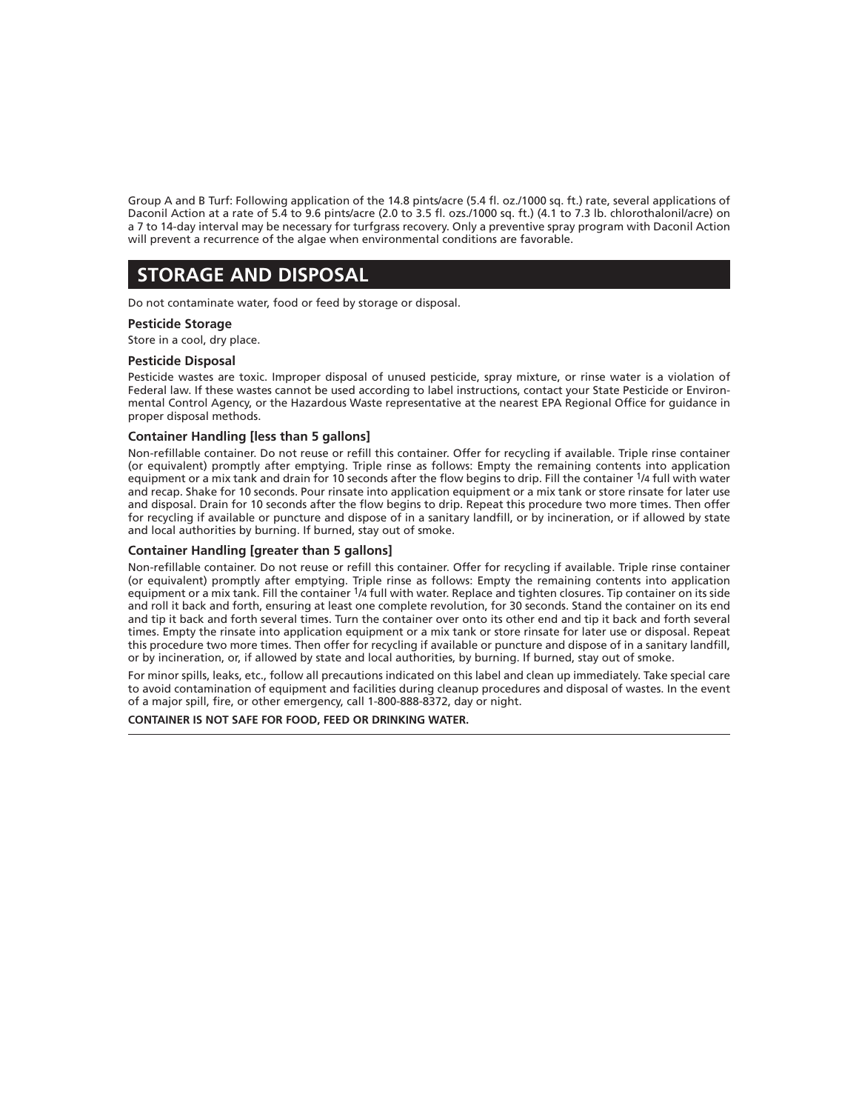Group A and B Turf: Following application of the 14.8 pints/acre (5.4 fl . oz./1000 sq. ft.) rate, several applications of Daconil Action at a rate of 5.4 to 9.6 pints/acre (2.0 to 3.5 fl. ozs./1000 sq. ft.) (4.1 to 7.3 lb. chlorothalonil/acre) on a 7 to 14-day interval may be necessary for turfgrass recovery. Only a preventive spray program with Daconil Action will prevent a recurrence of the algae when environmental conditions are favorable.

# **STORAGE AND DISPOSAL**

Do not contaminate water, food or feed by storage or disposal.

#### **Pesticide Storage**

Store in a cool, dry place.

# **Pesticide Disposal**

Pesticide wastes are toxic. Improper disposal of unused pesticide, spray mixture, or rinse water is a violation of Federal law. If these wastes cannot be used according to label instructions, contact your State Pesticide or Environmental Control Agency, or the Hazardous Waste representative at the nearest EPA Regional Office for guidance in proper disposal methods.

#### **Container Handling [less than 5 gallons]**

Non-refillable container. Do not reuse or refill this container. Offer for recycling if available. Triple rinse container (or equivalent) promptly after emptying. Triple rinse as follows: Empty the remaining contents into application equipment or a mix tank and drain for 10 seconds after the flow begins to drip. Fill the container 1/4 full with water and recap. Shake for 10 seconds. Pour rinsate into application equipment or a mix tank or store rinsate for later use and disposal. Drain for 10 seconds after the flow begins to drip. Repeat this procedure two more times. Then offer for recycling if available or puncture and dispose of in a sanitary landfill, or by incineration, or if allowed by state and local authorities by burning. If burned, stay out of smoke.

#### **Container Handling [greater than 5 gallons]**

Non-refillable container. Do not reuse or refill this container. Offer for recycling if available. Triple rinse container (or equivalent) promptly after emptying. Triple rinse as follows: Empty the remaining contents into application equipment or a mix tank. Fill the container <sup>1</sup>/4 full with water. Replace and tighten closures. Tip container on its side and roll it back and forth, ensuring at least one complete revolution, for 30 seconds. Stand the container on its end and tip it back and forth several times. Turn the container over onto its other end and tip it back and forth several times. Empty the rinsate into application equipment or a mix tank or store rinsate for later use or disposal. Repeat this procedure two more times. Then offer for recycling if available or puncture and dispose of in a sanitary landfill, or by incineration, or, if allowed by state and local authorities, by burning. If burned, stay out of smoke.

For minor spills, leaks, etc., follow all precautions indicated on this label and clean up immediately. Take special care to avoid contamination of equipment and facilities during cleanup procedures and disposal of wastes. In the event of a major spill, fire, or other emergency, call 1-800-888-8372, day or night.

**CONTAINER IS NOT SAFE FOR FOOD, FEED OR DRINKING WATER.**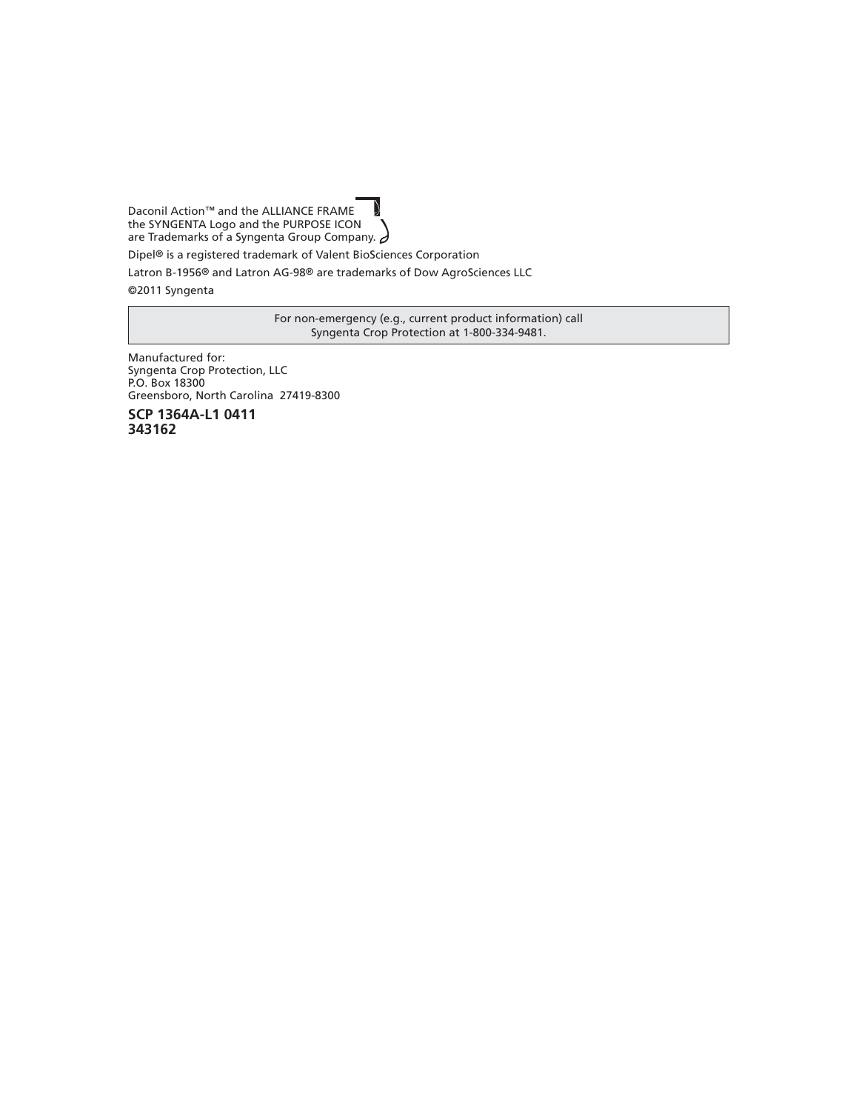Daconil Action™ and the ALLIANCE FRAME the SYNGENTA Logo and the PURPOSE ICON are Trademarks of a Syngenta Group Company.  $\partial$ 

Dipel® is a registered trademark of Valent BioSciences Corporation

Latron B-1956® and Latron AG-98® are trademarks of Dow AgroSciences LLC

©2011 Syngenta

For non-emergency (e.g., current product information) call Syngenta Crop Protection at 1-800-334-9481.

Manufactured for: Syngenta Crop Protection, LLC P.O. Box 18300 Greensboro, North Carolina 27419-8300

**SCP 1364A-L1 0411 343162**